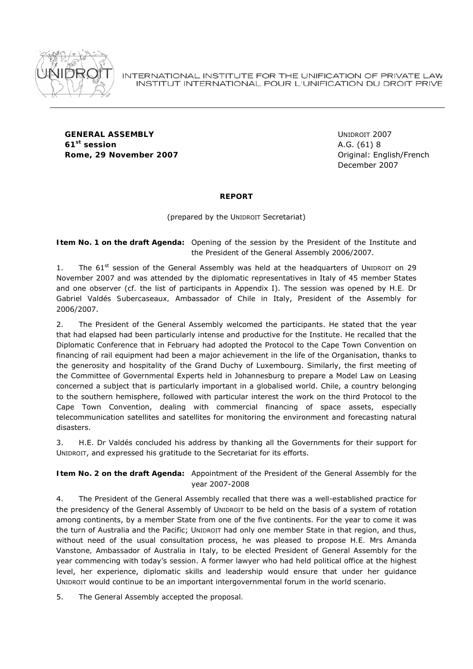

**GENERAL ASSEMBLY** UNIDROIT 2007 **61st session** A.G. (61) 8 **Rome, 29 November 2007** *COMPONDER CONTENTING CONTENT CONTENT CONTENT CONTENT CONTENT CONTENT CONTENT CONTENT CONTENT CONTENT CONTENT CONTENT CONTENT CONTENT CONTENT CONTENT CONTENT CONTENT CONTENT CONTENT CONTENT CONTEN* 

December 2007

## **REPORT**

(prepared by the UNIDROIT Secretariat)

# **Item No. 1 on the draft Agenda:** Opening of the session by the President of the Institute and the President of the General Assembly 2006/2007.

1. The  $61<sup>st</sup>$  session of the General Assembly was held at the headquarters of UNIDROIT on 29 November 2007 and was attended by the diplomatic representatives in Italy of 45 member States and one observer (*cf.* the list of participants in Appendix I). The session was opened by *H.E. Dr Gabriel Valdés Subercaseaux,* Ambassador of Chile in Italy, President of the Assembly for 2006/2007.

2. The *President of the General Assembly* welcomed the participants. He stated that the year that had elapsed had been particularly intense and productive for the Institute. He recalled that the Diplomatic Conference that in February had adopted the Protocol to the Cape Town Convention on financing of rail equipment had been a major achievement in the life of the Organisation, thanks to the generosity and hospitality of the Grand Duchy of Luxembourg. Similarly, the first meeting of the Committee of Governmental Experts held in Johannesburg to prepare a Model Law on Leasing concerned a subject that is particularly important in a globalised world. Chile, a country belonging to the southern hemisphere, followed with particular interest the work on the third Protocol to the Cape Town Convention, dealing with commercial financing of space assets, especially telecommunication satellites and satellites for monitoring the environment and forecasting natural disasters.

3. H.E. Dr Valdés concluded his address by thanking all the Governments for their support for UNIDROIT, and expressed his gratitude to the Secretariat for its efforts.

**Item No. 2 on the draft Agenda:** Appointment of the President of the General Assembly for the year 2007-2008

4. The *President of the General Assembly* recalled that there was a well-established practice for the presidency of the General Assembly of UNIDROIT to be held on the basis of a system of rotation among continents, by a member State from one of the five continents. For the year to come it was the turn of Australia and the Pacific; UNIDROIT had only one member State in that region, and thus, without need of the usual consultation process, he was pleased to propose *H.E. Mrs Amanda Vanstone, Ambassador of Australia in Italy*, to be elected President of General Assembly for the year commencing with today's session. A former lawyer who had held political office at the highest level, her experience, diplomatic skills and leadership would ensure that under her guidance UNIDROIT would continue to be an important intergovernmental forum in the world scenario.

5. *The General Assembly accepted the proposal.*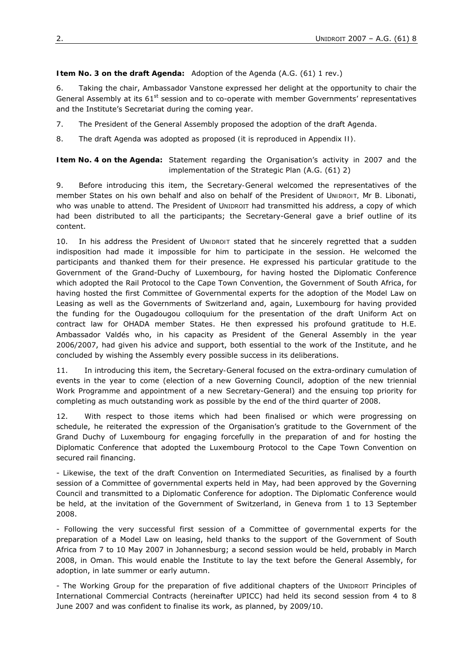### **Item No. 3 on the draft Agenda:** Adoption of the Agenda (A.G. (61) 1 rev.)

6. Taking the chair, *Ambassador Vanstone* expressed her delight at the opportunity to chair the General Assembly at its 61<sup>st</sup> session and to co-operate with member Governments' representatives and the Institute's Secretariat during the coming year.

7. The *President of the General Assembly* proposed the adoption of the draft Agenda.

8. *The draft Agenda was adopted as proposed (it is reproduced in Appendix II).*

**Item No. 4 on the Agenda:** Statement regarding the Organisation's activity in 2007 and the implementation of the Strategic Plan (A.G. (61) 2)

9. Before introducing this item, the *Secretary-General* welcomed the representatives of the member States on his own behalf and also on behalf of the *President of UNIDROIT, Mr B. Libonati*, who was unable to attend. The President of UNIDROIT had transmitted his address, a copy of which had been distributed to all the participants; the Secretary-General gave a brief outline of its content.

10. In his address *the President of UNIDROIT* stated that he sincerely regretted that a sudden indisposition had made it impossible for him to participate in the session. He welcomed the participants and thanked them for their presence. He expressed his particular gratitude to the Government of the Grand-Duchy of Luxembourg, for having hosted the Diplomatic Conference which adopted the Rail Protocol to the Cape Town Convention, the Government of South Africa, for having hosted the first Committee of Governmental experts for the adoption of the Model Law on Leasing as well as the Governments of Switzerland and, again, Luxembourg for having provided the funding for the Ougadougou colloquium for the presentation of the draft Uniform Act on contract law for OHADA member States. He then expressed his profound gratitude to H.E. Ambassador Valdés who, in his capacity as President of the General Assembly in the year 2006/2007, had given his advice and support, both essential to the work of the Institute, and he concluded by wishing the Assembly every possible success in its deliberations.

11. In introducing this item, the *Secretary-General* focused on the extra-ordinary cumulation of events in the year to come (election of a new Governing Council, adoption of the new triennial Work Programme and appointment of a new Secretary-General) and the ensuing top priority for completing as much outstanding work as possible by the end of the third quarter of 2008.

12. With respect to those items which had been finalised or which were progressing on schedule, he reiterated the expression of the Organisation's gratitude to the Government of the Grand Duchy of Luxembourg for engaging forcefully in the preparation of and for hosting the Diplomatic Conference that adopted the Luxembourg Protocol to the Cape Town Convention on secured rail financing.

- Likewise, the text of the draft Convention on Intermediated Securities, as finalised by a fourth session of a Committee of governmental experts held in May, had been approved by the Governing Council and transmitted to a Diplomatic Conference for adoption. The Diplomatic Conference would be held, at the invitation of the Government of Switzerland, in Geneva from 1 to 13 September 2008.

- Following the very successful first session of a Committee of governmental experts for the preparation of a Model Law on leasing, held thanks to the support of the Government of South Africa from 7 to 10 May 2007 in Johannesburg; a second session would be held, probably in March 2008, in Oman. This would enable the Institute to lay the text before the General Assembly, for adoption, in late summer or early autumn.

- The Working Group for the preparation of five additional chapters of the UNIDROIT Principles of International Commercial Contracts (hereinafter UPICC) had held its second session from 4 to 8 June 2007 and was confident to finalise its work, as planned, by 2009/10.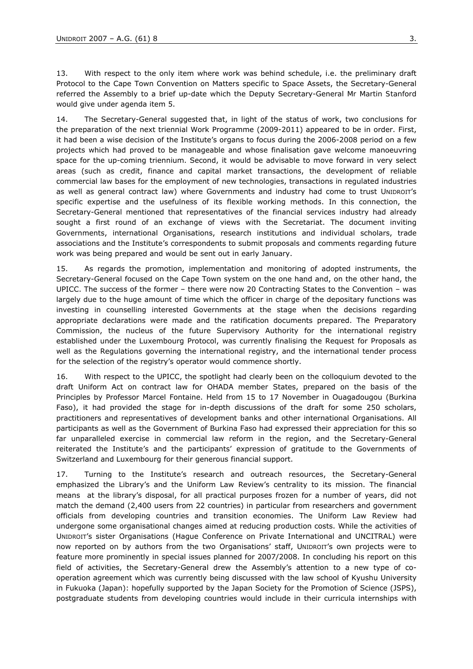13. With respect to the only item where work was behind schedule, i.e. the preliminary draft Protocol to the Cape Town Convention on Matters specific to Space Assets, the Secretary-General referred the Assembly to a brief up-date which the Deputy Secretary-General *Mr Martin Stanford* would give under agenda item 5.

14. The Secretary-General suggested that, in light of the status of work, two conclusions for the preparation of the next triennial Work Programme (2009-2011) appeared to be in order. First, it had been a wise decision of the Institute's organs to focus during the 2006-2008 period on a few projects which had proved to be manageable and whose finalisation gave welcome manoeuvring space for the up-coming triennium. Second, it would be advisable to move forward in very select areas (such as credit, finance and capital market transactions, the development of reliable commercial law bases for the employment of new technologies, transactions in regulated industries as well as general contract law) where Governments and industry had come to trust UNIDROIT's specific expertise and the usefulness of its flexible working methods. In this connection, the Secretary-General mentioned that representatives of the financial services industry had already sought a first round of an exchange of views with the Secretariat. The document inviting Governments, international Organisations, research institutions and individual scholars, trade associations and the Institute's correspondents to submit proposals and comments regarding future work was being prepared and would be sent out in early January.

15. As regards the promotion, implementation and monitoring of adopted instruments, the Secretary-General focused on the Cape Town system on the one hand and, on the other hand, the UPICC. The success of the former – there were now 20 Contracting States to the Convention – was largely due to the huge amount of time which the officer in charge of the depositary functions was investing in counselling interested Governments at the stage when the decisions regarding appropriate declarations were made and the ratification documents prepared. The Preparatory Commission, the nucleus of the future Supervisory Authority for the international registry established under the Luxembourg Protocol, was currently finalising the Request for Proposals as well as the Regulations governing the international registry, and the international tender process for the selection of the registry's operator would commence shortly.

16. With respect to the UPICC, the spotlight had clearly been on the colloquium devoted to the draft Uniform Act on contract law for OHADA member States, prepared on the basis of the Principles by Professor Marcel Fontaine. Held from 15 to 17 November in Ouagadougou (Burkina Faso), it had provided the stage for in-depth discussions of the draft for some 250 scholars, practitioners and representatives of development banks and other international Organisations. All participants as well as the Government of Burkina Faso had expressed their appreciation for this so far unparalleled exercise in commercial law reform in the region, and the Secretary-General reiterated the Institute's and the participants' expression of gratitude to the Governments of Switzerland and Luxembourg for their generous financial support.

17. Turning to the Institute's research and outreach resources, the Secretary-General emphasized the Library's and the Uniform Law Review's centrality to its mission. The financial means at the library's disposal, for all practical purposes frozen for a number of years, did not match the demand (2,400 users from 22 countries) in particular from researchers and government officials from developing countries and transition economies. The Uniform Law Review had undergone some organisational changes aimed at reducing production costs. While the activities of UNIDROIT's sister Organisations (Hague Conference on Private International and UNCITRAL) were now reported on by authors from the two Organisations' staff, UNIDROIT's own projects were to feature more prominently in special issues planned for 2007/2008. In concluding his report on this field of activities, the Secretary-General drew the Assembly's attention to a new type of cooperation agreement which was currently being discussed with the law school of Kyushu University in Fukuoka (Japan): hopefully supported by the Japan Society for the Promotion of Science (JSPS), postgraduate students from developing countries would include in their curricula internships with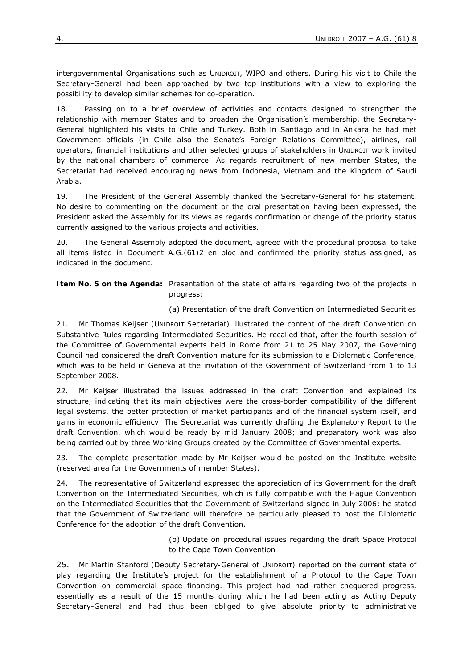intergovernmental Organisations such as UNIDROIT, WIPO and others. During his visit to Chile the Secretary-General had been approached by two top institutions with a view to exploring the possibility to develop similar schemes for co-operation.

18. Passing on to a brief overview of activities and contacts designed to strengthen the relationship with member States and to broaden the Organisation's membership, the Secretary-General highlighted his visits to Chile and Turkey. Both in Santiago and in Ankara he had met Government officials (in Chile also the Senate's Foreign Relations Committee), airlines, rail operators, financial institutions and other selected groups of stakeholders in UNIDROIT work invited by the national chambers of commerce. As regards recruitment of new member States, the Secretariat had received encouraging news from Indonesia, Vietnam and the Kingdom of Saudi Arabia.

19. The *President of the General Assembly* thanked the Secretary-General for his statement. No desire to commenting on the document or the oral presentation having been expressed, the President asked the Assembly for its views as regards confirmation or change of the priority status currently assigned to the various projects and activities.

20. *The General Assembly adopted the document, agreed with the procedural proposal to take all items listed in Document A.G.(61)2 en bloc and confirmed the priority status assigned, as indicated in the document.* 

**Item No. 5 on the Agenda:** Presentation of the state of affairs regarding two of the projects in progress:

(a) Presentation of the draft Convention on Intermediated Securities

21. *Mr Thomas Keijser (UNIDROIT Secretariat)* illustrated the content of the draft Convention on Substantive Rules regarding Intermediated Securities. He recalled that, after the fourth session of the Committee of Governmental experts held in Rome from 21 to 25 May 2007, the Governing Council had considered the draft Convention mature for its submission to a Diplomatic Conference, which was to be held in Geneva at the invitation of the Government of Switzerland from 1 to 13 September 2008.

22. Mr Keijser illustrated the issues addressed in the draft Convention and explained its structure, indicating that its main objectives were the cross-border compatibility of the different legal systems, the better protection of market participants and of the financial system itself, and gains in economic efficiency. The Secretariat was currently drafting the Explanatory Report to the draft Convention, which would be ready by mid January 2008; and preparatory work was also being carried out by three Working Groups created by the Committee of Governmental experts.

23. The complete presentation made by Mr Keijser would be posted on the Institute website (reserved area for the Governments of member States).

24. The *representative of Switzerland* expressed the appreciation of its Government for the draft Convention on the Intermediated Securities, which is fully compatible with the Hague Convention on the Intermediated Securities that the Government of Switzerland signed in July 2006; he stated that the Government of Switzerland will therefore be particularly pleased to host the Diplomatic Conference for the adoption of the draft Convention.

> (b) Update on procedural issues regarding the draft Space Protocol to the Cape Town Convention

25. *Mr Martin Stanford (Deputy Secretary-General of UNIDROIT)* reported on the current state of play regarding the Institute's project for the establishment of a Protocol to the Cape Town Convention on commercial space financing. This project had had rather chequered progress, essentially as a result of the 15 months during which he had been acting as Acting Deputy Secretary-General and had thus been obliged to give absolute priority to administrative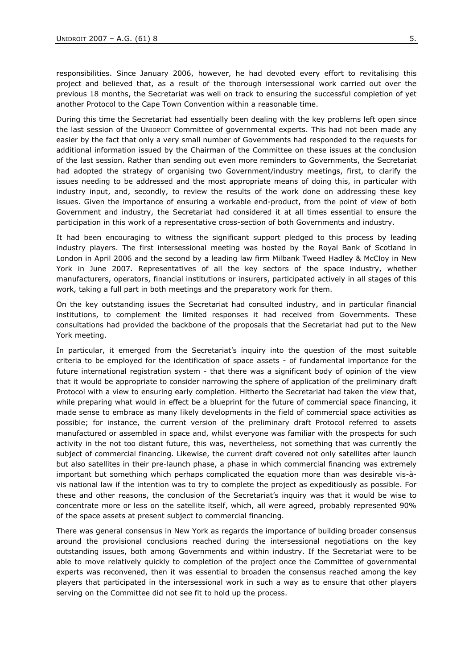responsibilities. Since January 2006, however, he had devoted every effort to revitalising this project and believed that, as a result of the thorough intersessional work carried out over the previous 18 months, the Secretariat was well on track to ensuring the successful completion of yet another Protocol to the Cape Town Convention within a reasonable time.

During this time the Secretariat had essentially been dealing with the key problems left open since the last session of the UNIDROIT Committee of governmental experts. This had not been made any easier by the fact that only a very small number of Governments had responded to the requests for additional information issued by the Chairman of the Committee on these issues at the conclusion of the last session. Rather than sending out even more reminders to Governments, the Secretariat had adopted the strategy of organising two Government/industry meetings, first, to clarify the issues needing to be addressed and the most appropriate means of doing this, in particular with industry input, and, secondly, to review the results of the work done on addressing these key issues. Given the importance of ensuring a workable end-product, from the point of view of both Government and industry, the Secretariat had considered it at all times essential to ensure the participation in this work of a representative cross-section of both Governments and industry.

It had been encouraging to witness the significant support pledged to this process by leading industry players. The first intersessional meeting was hosted by the Royal Bank of Scotland in London in April 2006 and the second by a leading law firm Milbank Tweed Hadley & McCloy in New York in June 2007. Representatives of all the key sectors of the space industry, whether manufacturers, operators, financial institutions or insurers, participated actively in all stages of this work, taking a full part in both meetings and the preparatory work for them.

On the key outstanding issues the Secretariat had consulted industry, and in particular financial institutions, to complement the limited responses it had received from Governments. These consultations had provided the backbone of the proposals that the Secretariat had put to the New York meeting.

In particular, it emerged from the Secretariat's inquiry into the question of the most suitable criteria to be employed for the identification of space assets - of fundamental importance for the future international registration system - that there was a significant body of opinion of the view that it would be appropriate to consider narrowing the sphere of application of the preliminary draft Protocol with a view to ensuring early completion. Hitherto the Secretariat had taken the view that, while preparing what would in effect be a blueprint for the future of commercial space financing, it made sense to embrace as many likely developments in the field of commercial space activities as possible; for instance, the current version of the preliminary draft Protocol referred to assets manufactured or assembled in space and, whilst everyone was familiar with the prospects for such activity in the not too distant future, this was, nevertheless, not something that was currently the subject of commercial financing. Likewise, the current draft covered not only satellites after launch but also satellites in their pre-launch phase, a phase in which commercial financing was extremely important but something which perhaps complicated the equation more than was desirable vis-àvis national law if the intention was to try to complete the project as expeditiously as possible. For these and other reasons, the conclusion of the Secretariat's inquiry was that it would be wise to concentrate more or less on the satellite itself, which, all were agreed, probably represented 90% of the space assets at present subject to commercial financing.

There was general consensus in New York as regards the importance of building broader consensus around the provisional conclusions reached during the intersessional negotiations on the key outstanding issues, both among Governments and within industry. If the Secretariat were to be able to move relatively quickly to completion of the project once the Committee of governmental experts was reconvened, then it was essential to broaden the consensus reached among the key players that participated in the intersessional work in such a way as to ensure that other players serving on the Committee did not see fit to hold up the process.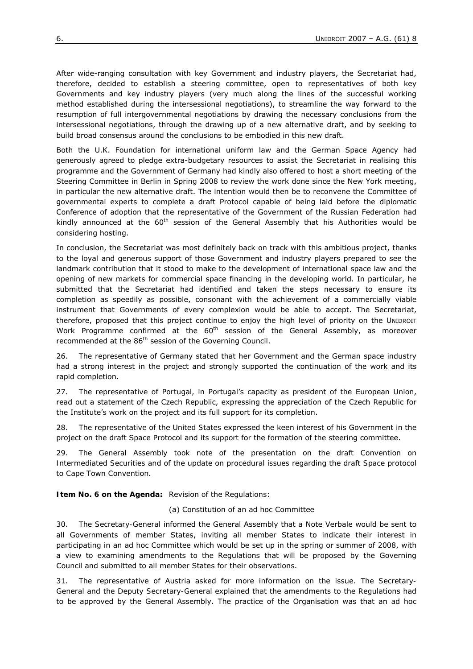After wide-ranging consultation with key Government and industry players, the Secretariat had, therefore, decided to establish a steering committee, open to representatives of both key Governments and key industry players (very much along the lines of the successful working method established during the intersessional negotiations), to streamline the way forward to the resumption of full intergovernmental negotiations by drawing the necessary conclusions from the intersessional negotiations, through the drawing up of a new alternative draft, and by seeking to build broad consensus around the conclusions to be embodied in this new draft.

Both the U.K. Foundation for international uniform law and the German Space Agency had generously agreed to pledge extra-budgetary resources to assist the Secretariat in realising this programme and the Government of Germany had kindly also offered to host a short meeting of the Steering Committee in Berlin in Spring 2008 to review the work done since the New York meeting, in particular the new alternative draft. The intention would then be to reconvene the Committee of governmental experts to complete a draft Protocol capable of being laid before the diplomatic Conference of adoption that the representative of the Government of the Russian Federation had kindly announced at the  $60<sup>th</sup>$  session of the General Assembly that his Authorities would be considering hosting.

In conclusion, the Secretariat was most definitely back on track with this ambitious project, thanks to the loyal and generous support of those Government and industry players prepared to see the landmark contribution that it stood to make to the development of international space law and the opening of new markets for commercial space financing in the developing world. In particular, he submitted that the Secretariat had identified and taken the steps necessary to ensure its completion as speedily as possible, consonant with the achievement of a commercially viable instrument that Governments of every complexion would be able to accept. The Secretariat, therefore, proposed that this project continue to enjoy the high level of priority on the UNIDROIT Work Programme confirmed at the  $60<sup>th</sup>$  session of the General Assembly, as moreover recommended at the 86<sup>th</sup> session of the Governing Council.

26. The *representative of Germany* stated that her Government and the German space industry had a strong interest in the project and strongly supported the continuation of the work and its rapid completion.

27. The *representative of Portugal*, in Portugal's capacity as president of the European Union, read out a statement of the Czech Republic, expressing the appreciation of the Czech Republic for the Institute's work on the project and its full support for its completion.

28. The *representative of the United States* expressed the keen interest of his Government in the project on the draft Space Protocol and its support for the formation of the steering committee.

29. *The General Assembly took note of the presentation on the draft Convention on Intermediated Securities and of the update on procedural issues regarding the draft Space protocol to Cape Town Convention.* 

**Item No. 6 on the Agenda:** Revision of the Regulations:

(a) Constitution of an *ad hoc* Committee

30. The *Secretary-General* informed the General Assembly that a Note Verbale would be sent to all Governments of member States, inviting all member States to indicate their interest in participating in an *ad hoc* Committee which would be set up in the spring or summer of 2008, with a view to examining amendments to the Regulations that will be proposed by the Governing Council and submitted to all member States for their observations.

31. The *representative of Austria* asked for more information on the issue. The *Secretary-General* and the *Deputy Secretary-General* explained that the amendments to the Regulations had to be approved by the General Assembly. The practice of the Organisation was that an *ad hoc*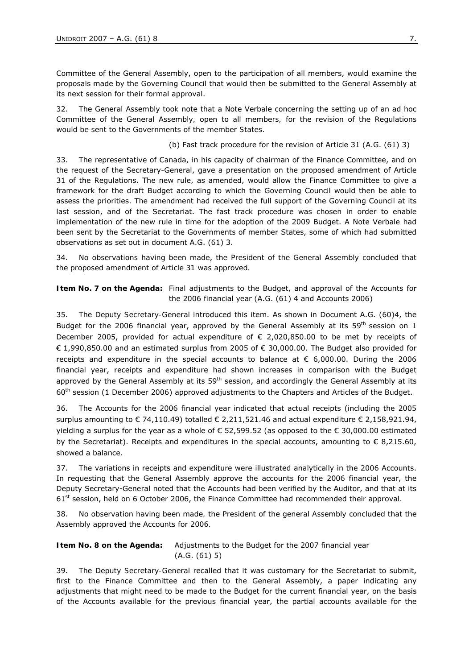Committee of the General Assembly, open to the participation of all members, would examine the proposals made by the Governing Council that would then be submitted to the General Assembly at its next session for their formal approval.

32. *The General Assembly took note that a Note Verbale concerning the setting up of an* ad hoc *Committee of the General Assembly, open to all members, for the revision of the Regulations would be sent to the Governments of the member States.* 

(b) Fast track procedure for the revision of Article 31 (A.G. (61) 3)

33. The *representative of Canada*, in his capacity of chairman of the Finance Committee, and on the request of the Secretary-General, gave a presentation on the proposed amendment of Article 31 of the Regulations. The new rule, as amended, would allow the Finance Committee to give a framework for the draft Budget according to which the Governing Council would then be able to assess the priorities. The amendment had received the full support of the Governing Council at its last session, and of the Secretariat. The fast track procedure was chosen in order to enable implementation of the new rule in time for the adoption of the 2009 Budget. A Note Verbale had been sent by the Secretariat to the Governments of member States, some of which had submitted observations as set out in document A.G. (61) 3.

34. *No observations having been made*, *the President of the General Assembly concluded that the proposed amendment of Article 31 was approved*.

**Item No. 7 on the Agenda:** Final adjustments to the Budget, and approval of the Accounts for the 2006 financial year (A.G. (61) 4 and Accounts 2006)

35. The *Deputy Secretary-General* introduced this item. As shown in Document A.G. (60)4, the Budget for the 2006 financial year, approved by the General Assembly at its 59<sup>th</sup> session on 1 December 2005, provided for actual expenditure of € 2,020,850.00 to be met by receipts of € 1,990,850.00 and an estimated surplus from 2005 of  $∈$  30,000.00. The Budget also provided for receipts and expenditure in the special accounts to balance at  $\epsilon$  6,000.00. During the 2006 financial year, receipts and expenditure had shown increases in comparison with the Budget approved by the General Assembly at its  $59<sup>th</sup>$  session, and accordingly the General Assembly at its 60th session (1 December 2006) approved adjustments to the Chapters and Articles of the Budget.

36. The Accounts for the 2006 financial year indicated that actual receipts (including the 2005 surplus amounting to  $\epsilon$  74,110.49) totalled  $\epsilon$  2,211,521.46 and actual expenditure  $\epsilon$  2,158,921.94, yielding a surplus for the year as a whole of € 52,599.52 (as opposed to the € 30,000.00 estimated by the Secretariat). Receipts and expenditures in the special accounts, amounting to  $\epsilon$  8,215.60, showed a balance.

37. The variations in receipts and expenditure were illustrated analytically in the 2006 Accounts. In requesting that the General Assembly approve the accounts for the 2006 financial year, the Deputy Secretary-General noted that the Accounts had been verified by the Auditor, and that at its 61<sup>st</sup> session, held on 6 October 2006, the Finance Committee had recommended their approval.

38. *No observation having been made, the President of the general Assembly concluded that the Assembly approved the Accounts for 2006.* 

## **Item No. 8 on the Agenda:** Adjustments to the Budget for the 2007 financial year (A.G. (61) 5)

39. The *Deputy Secretary-General* recalled that it was customary for the Secretariat to submit, first to the Finance Committee and then to the General Assembly, a paper indicating any adjustments that might need to be made to the Budget for the current financial year, on the basis of the Accounts available for the previous financial year, the partial accounts available for the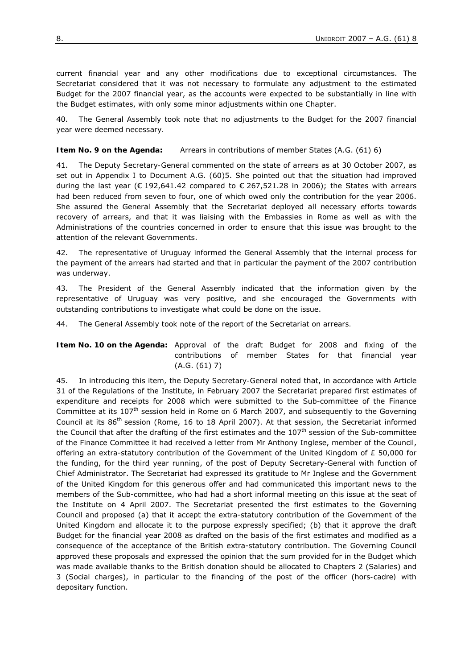current financial year and any other modifications due to exceptional circumstances. The Secretariat considered that it was not necessary to formulate any adjustment to the estimated Budget for the 2007 financial year, as the accounts were expected to be substantially in line with the Budget estimates, with only some minor adjustments within one Chapter.

40. *The General Assembly took note that no adjustments to the Budget for the 2007 financial year were deemed necessary.*

**Item No. 9 on the Agenda:** Arrears in contributions of member States (A.G. (61) 6)

41. The *Deputy Secretary-General* commented on the state of arrears as at 30 October 2007, as set out in Appendix I to Document A.G. (60)5. She pointed out that the situation had improved during the last year ( $\epsilon$  192,641.42 compared to  $\epsilon$  267,521.28 in 2006); the States with arrears had been reduced from seven to four, one of which owed only the contribution for the year 2006. She assured the General Assembly that the Secretariat deployed all necessary efforts towards recovery of arrears, and that it was liaising with the Embassies in Rome as well as with the Administrations of the countries concerned in order to ensure that this issue was brought to the attention of the relevant Governments.

42. The *representative of Uruguay* informed the General Assembly that the internal process for the payment of the arrears had started and that in particular the payment of the 2007 contribution was underway.

43. The *President of the General Assembly* indicated that the information given by the representative of Uruguay was very positive, and she encouraged the Governments with outstanding contributions to investigate what could be done on the issue.

44. *The General Assembly took note of the report of the Secretariat on arrears.* 

**Item No. 10 on the Agenda:** Approval of the draft Budget for 2008 and fixing of the contributions of member States for that financial year (A.G. (61) 7)

45. In introducing this item, the *Deputy Secretary-General* noted that, in accordance with Article 31 of the Regulations of the Institute, in February 2007 the Secretariat prepared first estimates of expenditure and receipts for 2008 which were submitted to the Sub-committee of the Finance Committee at its 107<sup>th</sup> session held in Rome on 6 March 2007, and subsequently to the Governing Council at its 86<sup>th</sup> session (Rome, 16 to 18 April 2007). At that session, the Secretariat informed the Council that after the drafting of the first estimates and the  $107<sup>th</sup>$  session of the Sub-committee of the Finance Committee it had received a letter from Mr Anthony Inglese, member of the Council, offering an extra-statutory contribution of the Government of the United Kingdom of  $E$  50,000 for the funding, for the third year running, of the post of Deputy Secretary-General with function of Chief Administrator. The Secretariat had expressed its gratitude to Mr Inglese and the Government of the United Kingdom for this generous offer and had communicated this important news to the members of the Sub-committee, who had had a short informal meeting on this issue at the seat of the Institute on 4 April 2007. The Secretariat presented the first estimates to the Governing Council and proposed (a) that it accept the extra-statutory contribution of the Government of the United Kingdom and allocate it to the purpose expressly specified; (b) that it approve the draft Budget for the financial year 2008 as drafted on the basis of the first estimates and modified as a consequence of the acceptance of the British extra-statutory contribution. The Governing Council approved these proposals and expressed the opinion that the sum provided for in the Budget which was made available thanks to the British donation should be allocated to Chapters 2 (Salaries) and 3 (Social charges), in particular to the financing of the post of the officer (*hors-cadre)* with depositary function.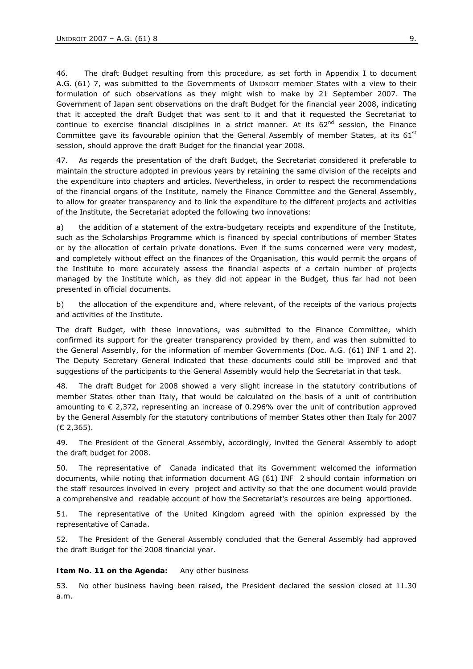46. The draft Budget resulting from this procedure, as set forth in Appendix I to document A.G. (61) 7, was submitted to the Governments of UNIDROIT member States with a view to their formulation of such observations as they might wish to make by 21 September 2007. The Government of Japan sent observations on the draft Budget for the financial year 2008, indicating that it accepted the draft Budget that was sent to it and that it requested the Secretariat to continue to exercise financial disciplines in a strict manner. At its  $62<sup>nd</sup>$  session, the Finance Committee gave its favourable opinion that the General Assembly of member States, at its  $61<sup>st</sup>$ session, should approve the draft Budget for the financial year 2008.

47. As regards the presentation of the draft Budget, the Secretariat considered it preferable to maintain the structure adopted in previous years by retaining the same division of the receipts and the expenditure into chapters and articles. Nevertheless, in order to respect the recommendations of the financial organs of the Institute, namely the Finance Committee and the General Assembly, to allow for greater transparency and to link the expenditure to the different projects and activities of the Institute, the Secretariat adopted the following two innovations:

a) the addition of a statement of the extra-budgetary receipts and expenditure of the Institute, such as the Scholarships Programme which is financed by special contributions of member States or by the allocation of certain private donations. Even if the sums concerned were very modest, and completely without effect on the finances of the Organisation, this would permit the organs of the Institute to more accurately assess the financial aspects of a certain number of projects managed by the Institute which, as they did not appear in the Budget, thus far had not been presented in official documents.

b) the allocation of the expenditure and, where relevant, of the receipts of the various projects and activities of the Institute.

The draft Budget, with these innovations, was submitted to the Finance Committee, which confirmed its support for the greater transparency provided by them, and was then submitted to the General Assembly, for the information of member Governments (Doc. A.G. (61) INF 1 and 2). The Deputy Secretary General indicated that these documents could still be improved and that suggestions of the participants to the General Assembly would help the Secretariat in that task.

48. The draft Budget for 2008 showed a very slight increase in the statutory contributions of member States other than Italy, that would be calculated on the basis of a unit of contribution amounting to  $\epsilon$  2,372, representing an increase of 0.296% over the unit of contribution approved by the General Assembly for the statutory contributions of member States other than Italy for 2007 (€ 2,365).

49. The *President of the General Assembly*, accordingly, invited the General Assembly to adopt the draft budget for 2008.

50. The representative of Canada indicated that its Government welcomed the information documents, while noting that information document AG (61) INF 2 should contain information on the staff resources involved in every project and activity so that the one document would provide a comprehensive and readable account of how the Secretariat's resources are being apportioned.

51. The *representative of the United Kingdom* agreed with the opinion expressed by the representative of Canada.

52. *The President of the General Assembly concluded that the General Assembly had approved the draft Budget for the 2008 financial year.* 

#### **Item No. 11 on the Agenda:** Any other business

53. No other business having been raised, *the President* declared the session closed at 11.30 a.m.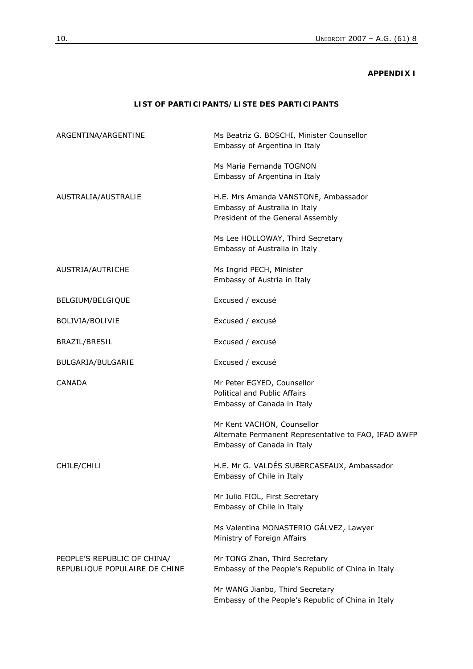### **APPENDIX I**

# **LIST OF PARTICIPANTS/***LISTE DES PARTICIPANTS*

| ARGENTINA/ARGENTINE                                          | Ms Beatriz G. BOSCHI, Minister Counsellor<br>Embassy of Argentina in Italy                                       |
|--------------------------------------------------------------|------------------------------------------------------------------------------------------------------------------|
|                                                              | Ms Maria Fernanda TOGNON<br>Embassy of Argentina in Italy                                                        |
| AUSTRALIA/AUSTRALIE                                          | H.E. Mrs Amanda VANSTONE, Ambassador<br>Embassy of Australia in Italy<br>President of the General Assembly       |
|                                                              | Ms Lee HOLLOWAY, Third Secretary<br>Embassy of Australia in Italy                                                |
| AUSTRIA/AUTRICHE                                             | Ms Ingrid PECH, Minister<br>Embassy of Austria in Italy                                                          |
| BELGIUM/BELGIQUE                                             | Excused / excusé                                                                                                 |
| BOLIVIA/BOLIVIE                                              | Excused / excusé                                                                                                 |
| BRAZIL/ <i>BRESIL</i>                                        | Excused / excusé                                                                                                 |
| <b>BULGARIA/BULGARIE</b>                                     | Excused / excusé                                                                                                 |
| <b>CANADA</b>                                                | Mr Peter EGYED, Counsellor<br>Political and Public Affairs<br>Embassy of Canada in Italy                         |
|                                                              | Mr Kent VACHON, Counsellor<br>Alternate Permanent Representative to FAO, IFAD &WFP<br>Embassy of Canada in Italy |
| CHILE/CHILI                                                  | H.E. Mr G. VALDÉS SUBERCASEAUX, Ambassador<br>Embassy of Chile in Italy                                          |
|                                                              | Mr Julio FIOL, First Secretary<br>Embassy of Chile in Italy                                                      |
|                                                              | Ms Valentina MONASTERIO GÁLVEZ, Lawyer<br>Ministry of Foreign Affairs                                            |
| PEOPLE'S REPUBLIC OF CHINA/<br>REPUBLIQUE POPULAIRE DE CHINE | Mr TONG Zhan, Third Secretary<br>Embassy of the People's Republic of China in Italy                              |
|                                                              | Mr WANG Jianbo, Third Secretary<br>Embassy of the People's Republic of China in Italy                            |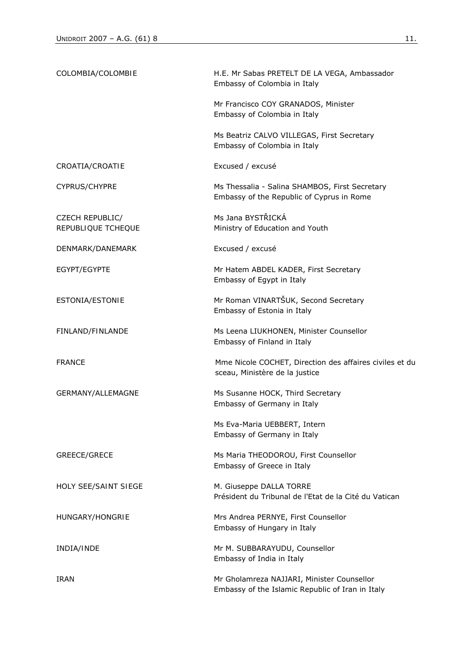| COLOMBIA/COLOMBIE                            | H.E. Mr Sabas PRETELT DE LA VEGA, Ambassador<br>Embassy of Colombia in Italy                   |
|----------------------------------------------|------------------------------------------------------------------------------------------------|
|                                              | Mr Francisco COY GRANADOS, Minister<br>Embassy of Colombia in Italy                            |
|                                              | Ms Beatriz CALVO VILLEGAS, First Secretary<br>Embassy of Colombia in Italy                     |
| CROATIA/CROATIE                              | Excused / excusé                                                                               |
| CYPRUS/CHYPRE                                | Ms Thessalia - Salina SHAMBOS, First Secretary<br>Embassy of the Republic of Cyprus in Rome    |
| <b>CZECH REPUBLIC/</b><br>REPUBLIQUE TCHEQUE | Ms Jana BYSTŘICKÁ<br>Ministry of Education and Youth                                           |
| DENMARK/DANEMARK                             | Excused / excusé                                                                               |
| EGYPT/EGYPTE                                 | Mr Hatem ABDEL KADER, First Secretary<br>Embassy of Egypt in Italy                             |
| ESTONIA/ESTONIE                              | Mr Roman VINARTŠUK, Second Secretary<br>Embassy of Estonia in Italy                            |
| FINLAND/FINLANDE                             | Ms Leena LIUKHONEN, Minister Counsellor<br>Embassy of Finland in Italy                         |
| <b>FRANCE</b>                                | Mme Nicole COCHET, Direction des affaires civiles et du<br>sceau, Ministère de la justice      |
| GERMANY/ALLEMAGNE                            | Ms Susanne HOCK, Third Secretary<br>Embassy of Germany in Italy                                |
|                                              | Ms Eva-Maria UEBBERT, Intern<br>Embassy of Germany in Italy                                    |
| GREECE/GRECE                                 | Ms Maria THEODOROU, First Counsellor<br>Embassy of Greece in Italy                             |
| <b>HOLY SEE/SAINT SIEGE</b>                  | M. Giuseppe DALLA TORRE<br>Président du Tribunal de l'Etat de la Cité du Vatican               |
| HUNGARY/HONGRIE                              | Mrs Andrea PERNYE, First Counsellor<br>Embassy of Hungary in Italy                             |
| INDIA/INDE                                   | Mr M. SUBBARAYUDU, Counsellor<br>Embassy of India in Italy                                     |
| <b>IRAN</b>                                  | Mr Gholamreza NAJJARI, Minister Counsellor<br>Embassy of the Islamic Republic of Iran in Italy |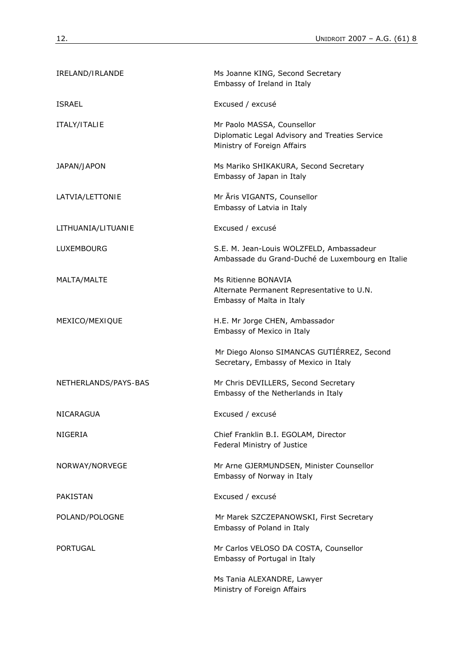| IRELAND/IRLANDE      | Ms Joanne KING, Second Secretary<br>Embassy of Ireland in Italy                                             |
|----------------------|-------------------------------------------------------------------------------------------------------------|
| <b>ISRAEL</b>        | Excused / excusé                                                                                            |
| ITALY/ITALIE         | Mr Paolo MASSA, Counsellor<br>Diplomatic Legal Advisory and Treaties Service<br>Ministry of Foreign Affairs |
| JAPAN/JAPON          | Ms Mariko SHIKAKURA, Second Secretary<br>Embassy of Japan in Italy                                          |
| LATVIA/LETTONIE      | Mr Āris VIGANTS, Counsellor<br>Embassy of Latvia in Italy                                                   |
| LITHUANIA/LITUANIE   | Excused / excusé                                                                                            |
| LUXEMBOURG           | S.E. M. Jean-Louis WOLZFELD, Ambassadeur<br>Ambassade du Grand-Duché de Luxembourg en Italie                |
| MALTA/MALTE          | Ms Ritienne BONAVIA<br>Alternate Permanent Representative to U.N.<br>Embassy of Malta in Italy              |
| MEXICO/MEXIQUE       | H.E. Mr Jorge CHEN, Ambassador<br>Embassy of Mexico in Italy                                                |
|                      | Mr Diego Alonso SIMANCAS GUTIÉRREZ, Second<br>Secretary, Embassy of Mexico in Italy                         |
| NETHERLANDS/PAYS-BAS | Mr Chris DEVILLERS, Second Secretary<br>Embassy of the Netherlands in Italy                                 |
| <b>NICARAGUA</b>     | Excused / excusé                                                                                            |
| NIGERIA              | Chief Franklin B.I. EGOLAM, Director<br>Federal Ministry of Justice                                         |
| NORWAY/NORVEGE       | Mr Arne GJERMUNDSEN, Minister Counsellor<br>Embassy of Norway in Italy                                      |
| <b>PAKISTAN</b>      | Excused / excusé                                                                                            |
| POLAND/POLOGNE       | Mr Marek SZCZEPANOWSKI, First Secretary<br>Embassy of Poland in Italy                                       |
| <b>PORTUGAL</b>      | Mr Carlos VELOSO DA COSTA, Counsellor<br>Embassy of Portugal in Italy                                       |
|                      | Ms Tania ALEXANDRE, Lawyer<br>Ministry of Foreign Affairs                                                   |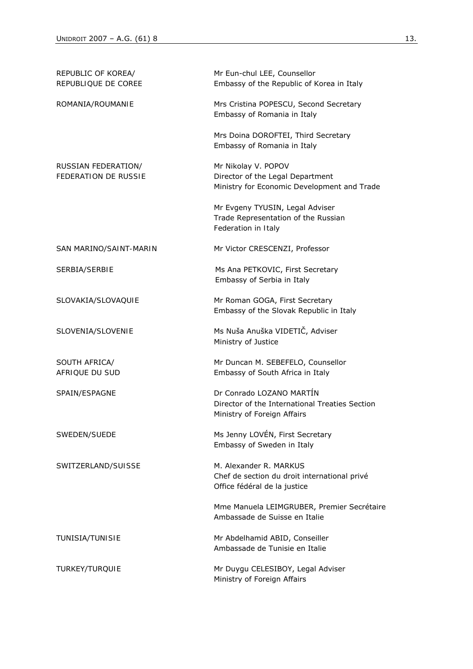| REPUBLIC OF KOREA/<br><b>REPUBLIQUE DE COREE</b>   | Mr Eun-chul LEE, Counsellor<br>Embassy of the Republic of Korea in Italy                                  |
|----------------------------------------------------|-----------------------------------------------------------------------------------------------------------|
| ROMANIA/ROUMANIE                                   | Mrs Cristina POPESCU, Second Secretary<br>Embassy of Romania in Italy                                     |
|                                                    | Mrs Doina DOROFTEI, Third Secretary<br>Embassy of Romania in Italy                                        |
| RUSSIAN FEDERATION/<br><b>FEDERATION DE RUSSIE</b> | Mr Nikolay V. POPOV<br>Director of the Legal Department<br>Ministry for Economic Development and Trade    |
|                                                    | Mr Evgeny TYUSIN, Legal Adviser<br>Trade Representation of the Russian<br>Federation in Italy             |
| SAN MARINO/SAINT-MARIN                             | Mr Victor CRESCENZI, Professor                                                                            |
| SERBIA/SERBIE                                      | Ms Ana PETKOVIC, First Secretary<br>Embassy of Serbia in Italy                                            |
| SLOVAKIA/SLOVAQUIE                                 | Mr Roman GOGA, First Secretary<br>Embassy of the Slovak Republic in Italy                                 |
| SLOVENIA/SLOVENIE                                  | Ms Nuša Anuška VIDETIČ, Adviser<br>Ministry of Justice                                                    |
| SOUTH AFRICA/<br><b>AFRIQUE DU SUD</b>             | Mr Duncan M. SEBEFELO, Counsellor<br>Embassy of South Africa in Italy                                     |
| SPAIN/ESPAGNE                                      | Dr Conrado LOZANO MARTÍN<br>Director of the International Treaties Section<br>Ministry of Foreign Affairs |
| SWEDEN/SUEDE                                       | Ms Jenny LOVÉN, First Secretary<br>Embassy of Sweden in Italy                                             |
| SWITZERLAND/SUISSE                                 | M. Alexander R. MARKUS<br>Chef de section du droit international privé<br>Office fédéral de la justice    |
|                                                    | Mme Manuela LEIMGRUBER, Premier Secrétaire<br>Ambassade de Suisse en Italie                               |
| TUNISIA/TUNISIE                                    | Mr Abdelhamid ABID, Conseiller<br>Ambassade de Tunisie en Italie                                          |
| TURKEY/TURQUIE                                     | Mr Duygu CELESIBOY, Legal Adviser<br>Ministry of Foreign Affairs                                          |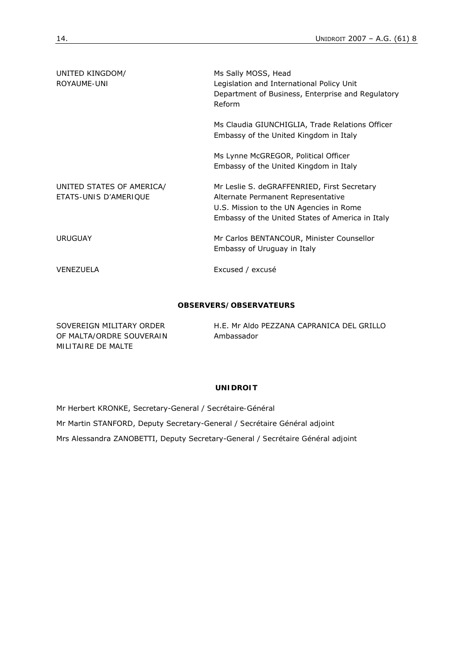| UNITED KINGDOM/<br><b>ROYAUME-UNI</b>                     | Ms Sally MOSS, Head<br>Legislation and International Policy Unit<br>Department of Business, Enterprise and Regulatory<br>Reform                                                  |
|-----------------------------------------------------------|----------------------------------------------------------------------------------------------------------------------------------------------------------------------------------|
|                                                           | Ms Claudia GIUNCHIGLIA, Trade Relations Officer<br>Embassy of the United Kingdom in Italy                                                                                        |
|                                                           | Ms Lynne McGREGOR, Political Officer<br>Embassy of the United Kingdom in Italy                                                                                                   |
| UNITED STATES OF AMERICA/<br><b>FTATS-UNIS D'AMFRIOUF</b> | Mr Leslie S. deGRAFFENRIED, First Secretary<br>Alternate Permanent Representative<br>U.S. Mission to the UN Agencies in Rome<br>Embassy of the United States of America in Italy |
| <b>URUGUAY</b>                                            | Mr Carlos BENTANCOUR, Minister Counsellor<br>Embassy of Uruguay in Italy                                                                                                         |
| VENEZUELA                                                 | Excused / excusé                                                                                                                                                                 |

### **OBSERVERS/***OBSERVATEURS*

| SOVEREIGN MILITARY ORDER | H.E. Mr Aldo PEZZANA CAPRANICA DEL GRILLO |
|--------------------------|-------------------------------------------|
| OF MALTA/ORDRE SOUVERAIN | Ambassador                                |
| MILITAIRE DE MALTE       |                                           |

# **UNIDROIT**

Mr Herbert KRONKE, Secretary-General / *Secrétaire-Général*  Mr Martin STANFORD, Deputy Secretary-General / *Secrétaire Général adjoint*  Mrs Alessandra ZANOBETTI, Deputy Secretary-General / *Secrétaire Général adjoint*